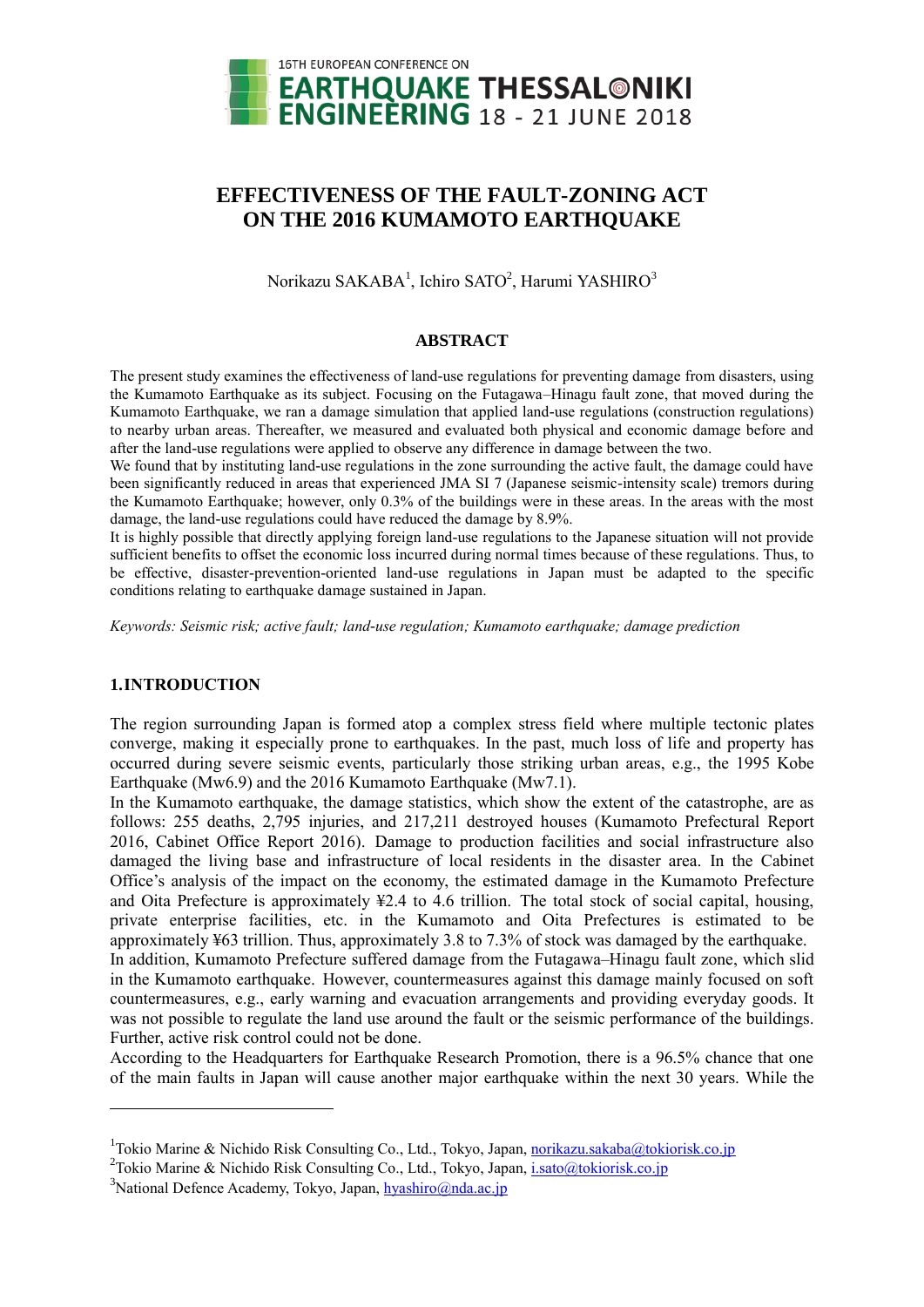

# **EFFECTIVENESS OF THE FAULT-ZONING ACT ON THE 2016 KUMAMOTO EARTHQUAKE**

Norikazu SAKABA<sup>1</sup>, Ichiro SATO<sup>2</sup>, Harumi YASHIRO<sup>3</sup>

#### **ABSTRACT**

The present study examines the effectiveness of land-use regulations for preventing damage from disasters, using the Kumamoto Earthquake as its subject. Focusing on the Futagawa–Hinagu fault zone, that moved during the Kumamoto Earthquake, we ran a damage simulation that applied land-use regulations (construction regulations) to nearby urban areas. Thereafter, we measured and evaluated both physical and economic damage before and after the land-use regulations were applied to observe any difference in damage between the two.

We found that by instituting land-use regulations in the zone surrounding the active fault, the damage could have been significantly reduced in areas that experienced JMA SI 7 (Japanese seismic-intensity scale) tremors during the Kumamoto Earthquake; however, only 0.3% of the buildings were in these areas. In the areas with the most damage, the land-use regulations could have reduced the damage by 8.9%.

It is highly possible that directly applying foreign land-use regulations to the Japanese situation will not provide sufficient benefits to offset the economic loss incurred during normal times because of these regulations. Thus, to be effective, disaster-prevention-oriented land-use regulations in Japan must be adapted to the specific conditions relating to earthquake damage sustained in Japan.

*Keywords: Seismic risk; active fault; land-use regulation; Kumamoto earthquake; damage prediction*

## **1.INTRODUCTION**

 $\overline{a}$ 

The region surrounding Japan is formed atop a complex stress field where multiple tectonic plates converge, making it especially prone to earthquakes. In the past, much loss of life and property has occurred during severe seismic events, particularly those striking urban areas, e.g., the 1995 Kobe Earthquake (Mw6.9) and the 2016 Kumamoto Earthquake (Mw7.1).

In the Kumamoto earthquake, the damage statistics, which show the extent of the catastrophe, are as follows: 255 deaths, 2,795 injuries, and 217,211 destroyed houses (Kumamoto Prefectural Report 2016, Cabinet Office Report 2016). Damage to production facilities and social infrastructure also damaged the living base and infrastructure of local residents in the disaster area. In the Cabinet Office's analysis of the impact on the economy, the estimated damage in the Kumamoto Prefecture and Oita Prefecture is approximately ≦2.4 to 4.6 trillion. The total stock of social capital, housing, private enterprise facilities, etc. in the Kumamoto and Oita Prefectures is estimated to be approximately ≦63 trillion. Thus, approximately 3.8 to 7.3% of stock was damaged by the earthquake. In addition, Kumamoto Prefecture suffered damage from the Futagawa–Hinagu fault zone, which slid

in the Kumamoto earthquake. However, countermeasures against this damage mainly focused on soft countermeasures, e.g., early warning and evacuation arrangements and providing everyday goods. It was not possible to regulate the land use around the fault or the seismic performance of the buildings. Further, active risk control could not be done.

According to the Headquarters for Earthquake Research Promotion, there is a 96.5% chance that one of the main faults in Japan will cause another major earthquake within the next 30 years. While the

<sup>&</sup>lt;sup>1</sup>Tokio Marine & Nichido Risk Consulting Co., Ltd., Tokyo, Japan, norikazu.sakaba@tokiorisk.co.jp

<sup>&</sup>lt;sup>2</sup>Tokio Marine & Nichido Risk Consulting Co., Ltd., Tokyo, Japan, *i.sato@tokiorisk.co.jp* 

 $3$ National Defence Academy, Tokyo, Japan, hyashiro@nda.ac.jp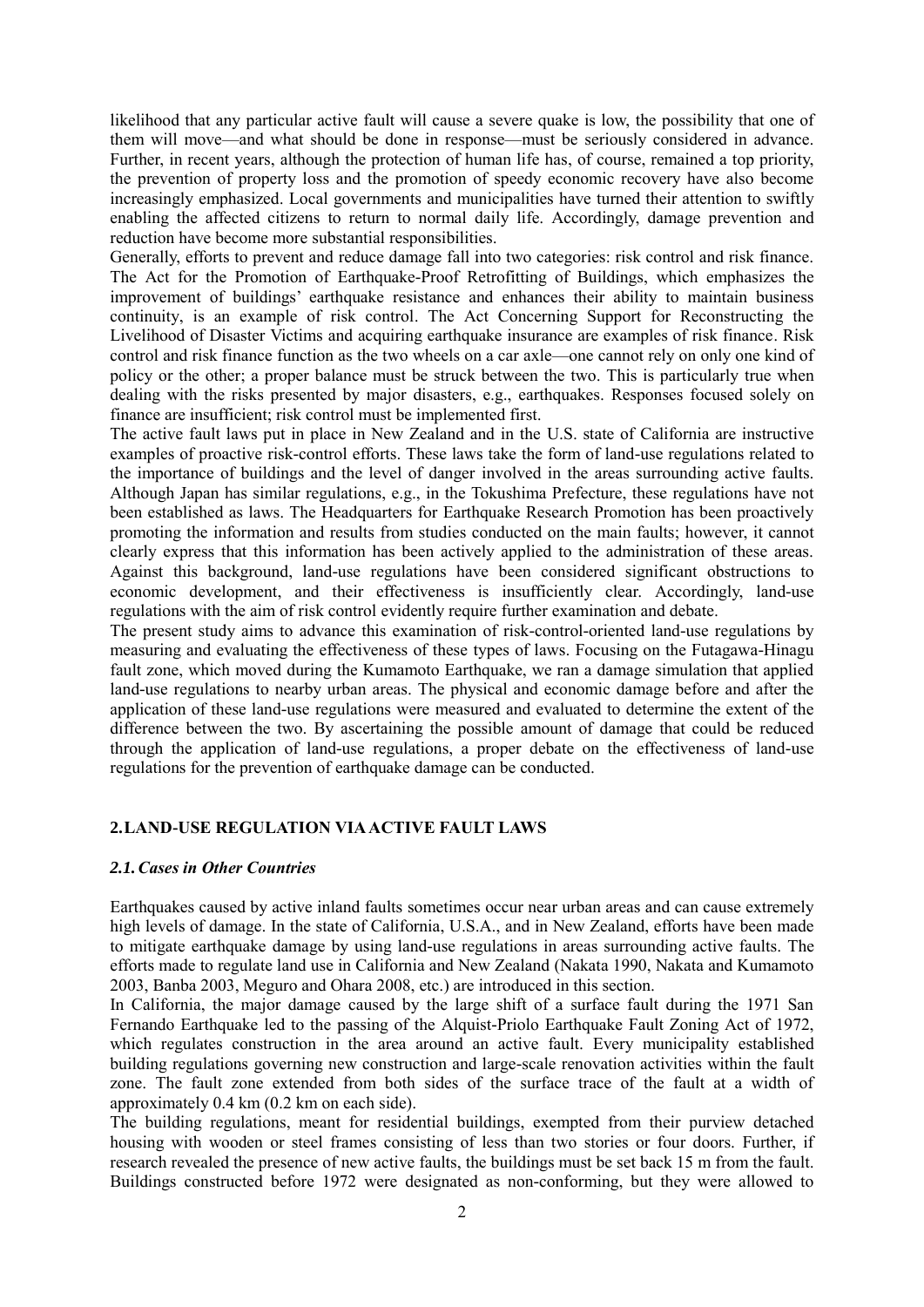likelihood that any particular active fault will cause a severe quake is low, the possibility that one of them will move—and what should be done in response—must be seriously considered in advance. Further, in recent years, although the protection of human life has, of course, remained a top priority, the prevention of property loss and the promotion of speedy economic recovery have also become increasingly emphasized. Local governments and municipalities have turned their attention to swiftly enabling the affected citizens to return to normal daily life. Accordingly, damage prevention and reduction have become more substantial responsibilities.

Generally, efforts to prevent and reduce damage fall into two categories: risk control and risk finance. The Act for the Promotion of Earthquake-Proof Retrofitting of Buildings, which emphasizes the improvement of buildings' earthquake resistance and enhances their ability to maintain business continuity, is an example of risk control. The Act Concerning Support for Reconstructing the Livelihood of Disaster Victims and acquiring earthquake insurance are examples of risk finance. Risk control and risk finance function as the two wheels on a car axle—one cannot rely on only one kind of policy or the other; a proper balance must be struck between the two. This is particularly true when dealing with the risks presented by major disasters, e.g., earthquakes. Responses focused solely on finance are insufficient; risk control must be implemented first.

The active fault laws put in place in New Zealand and in the U.S. state of California are instructive examples of proactive risk-control efforts. These laws take the form of land-use regulations related to the importance of buildings and the level of danger involved in the areas surrounding active faults. Although Japan has similar regulations, e.g., in the Tokushima Prefecture, these regulations have not been established as laws. The Headquarters for Earthquake Research Promotion has been proactively promoting the information and results from studies conducted on the main faults; however, it cannot clearly express that this information has been actively applied to the administration of these areas. Against this background, land-use regulations have been considered significant obstructions to economic development, and their effectiveness is insufficiently clear. Accordingly, land-use regulations with the aim of risk control evidently require further examination and debate.

The present study aims to advance this examination of risk-control-oriented land-use regulations by measuring and evaluating the effectiveness of these types of laws. Focusing on the Futagawa-Hinagu fault zone, which moved during the Kumamoto Earthquake, we ran a damage simulation that applied land-use regulations to nearby urban areas. The physical and economic damage before and after the application of these land-use regulations were measured and evaluated to determine the extent of the difference between the two. By ascertaining the possible amount of damage that could be reduced through the application of land-use regulations, a proper debate on the effectiveness of land-use regulations for the prevention of earthquake damage can be conducted.

## **2.LAND-USE REGULATION VIA ACTIVE FAULT LAWS**

## *2.1.Cases in Other Countries*

Earthquakes caused by active inland faults sometimes occur near urban areas and can cause extremely high levels of damage. In the state of California, U.S.A., and in New Zealand, efforts have been made to mitigate earthquake damage by using land-use regulations in areas surrounding active faults. The efforts made to regulate land use in California and New Zealand (Nakata 1990, Nakata and Kumamoto 2003, Banba 2003, Meguro and Ohara 2008, etc.) are introduced in this section.

In California, the major damage caused by the large shift of a surface fault during the 1971 San Fernando Earthquake led to the passing of the Alquist-Priolo Earthquake Fault Zoning Act of 1972, which regulates construction in the area around an active fault. Every municipality established building regulations governing new construction and large-scale renovation activities within the fault zone. The fault zone extended from both sides of the surface trace of the fault at a width of approximately 0.4 km (0.2 km on each side).

The building regulations, meant for residential buildings, exempted from their purview detached housing with wooden or steel frames consisting of less than two stories or four doors. Further, if research revealed the presence of new active faults, the buildings must be set back 15 m from the fault. Buildings constructed before 1972 were designated as non-conforming, but they were allowed to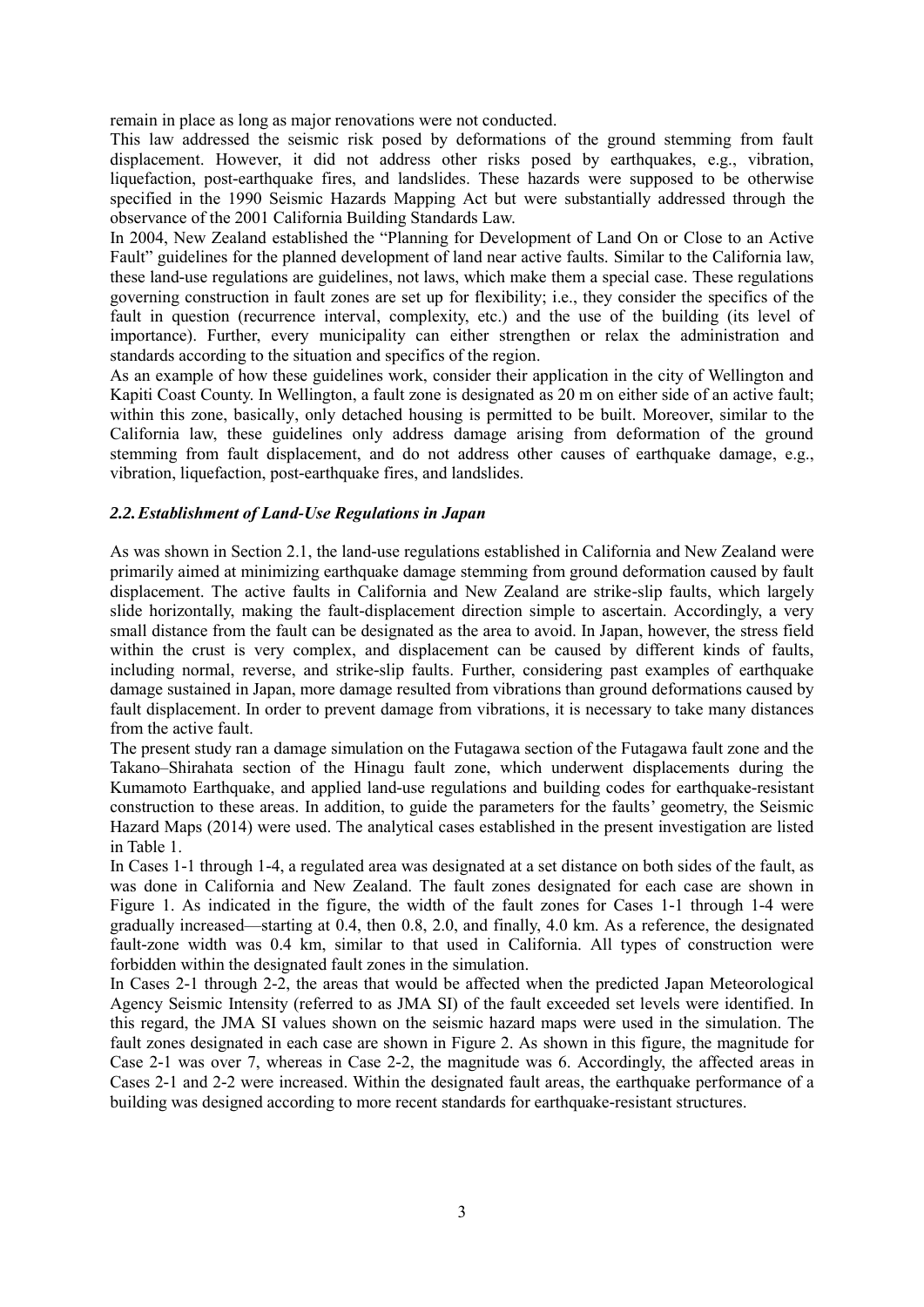remain in place as long as major renovations were not conducted.

This law addressed the seismic risk posed by deformations of the ground stemming from fault displacement. However, it did not address other risks posed by earthquakes, e.g., vibration, liquefaction, post-earthquake fires, and landslides. These hazards were supposed to be otherwise specified in the 1990 Seismic Hazards Mapping Act but were substantially addressed through the observance of the 2001 California Building Standards Law.

In 2004, New Zealand established the "Planning for Development of Land On or Close to an Active Fault" guidelines for the planned development of land near active faults. Similar to the California law, these land-use regulations are guidelines, not laws, which make them a special case. These regulations governing construction in fault zones are set up for flexibility; i.e., they consider the specifics of the fault in question (recurrence interval, complexity, etc.) and the use of the building (its level of importance). Further, every municipality can either strengthen or relax the administration and standards according to the situation and specifics of the region.

As an example of how these guidelines work, consider their application in the city of Wellington and Kapiti Coast County. In Wellington, a fault zone is designated as 20 m on either side of an active fault; within this zone, basically, only detached housing is permitted to be built. Moreover, similar to the California law, these guidelines only address damage arising from deformation of the ground stemming from fault displacement, and do not address other causes of earthquake damage, e.g., vibration, liquefaction, post-earthquake fires, and landslides.

## *2.2.Establishment of Land-Use Regulations in Japan*

As was shown in Section 2.1, the land-use regulations established in California and New Zealand were primarily aimed at minimizing earthquake damage stemming from ground deformation caused by fault displacement. The active faults in California and New Zealand are strike-slip faults, which largely slide horizontally, making the fault-displacement direction simple to ascertain. Accordingly, a very small distance from the fault can be designated as the area to avoid. In Japan, however, the stress field within the crust is very complex, and displacement can be caused by different kinds of faults, including normal, reverse, and strike-slip faults. Further, considering past examples of earthquake damage sustained in Japan, more damage resulted from vibrations than ground deformations caused by fault displacement. In order to prevent damage from vibrations, it is necessary to take many distances from the active fault.

The present study ran a damage simulation on the Futagawa section of the Futagawa fault zone and the Takano–Shirahata section of the Hinagu fault zone, which underwent displacements during the Kumamoto Earthquake, and applied land-use regulations and building codes for earthquake-resistant construction to these areas. In addition, to guide the parameters for the faults' geometry, the Seismic Hazard Maps (2014) were used. The analytical cases established in the present investigation are listed in Table 1.

In Cases 1-1 through 1-4, a regulated area was designated at a set distance on both sides of the fault, as was done in California and New Zealand. The fault zones designated for each case are shown in Figure 1. As indicated in the figure, the width of the fault zones for Cases 1-1 through 1-4 were gradually increased—starting at 0.4, then 0.8, 2.0, and finally, 4.0 km. As a reference, the designated fault-zone width was 0.4 km, similar to that used in California. All types of construction were forbidden within the designated fault zones in the simulation.

In Cases 2-1 through 2-2, the areas that would be affected when the predicted Japan Meteorological Agency Seismic Intensity (referred to as JMA SI) of the fault exceeded set levels were identified. In this regard, the JMA SI values shown on the seismic hazard maps were used in the simulation. The fault zones designated in each case are shown in Figure 2. As shown in this figure, the magnitude for Case 2-1 was over 7, whereas in Case 2-2, the magnitude was 6. Accordingly, the affected areas in Cases 2-1 and 2-2 were increased. Within the designated fault areas, the earthquake performance of a building was designed according to more recent standards for earthquake-resistant structures.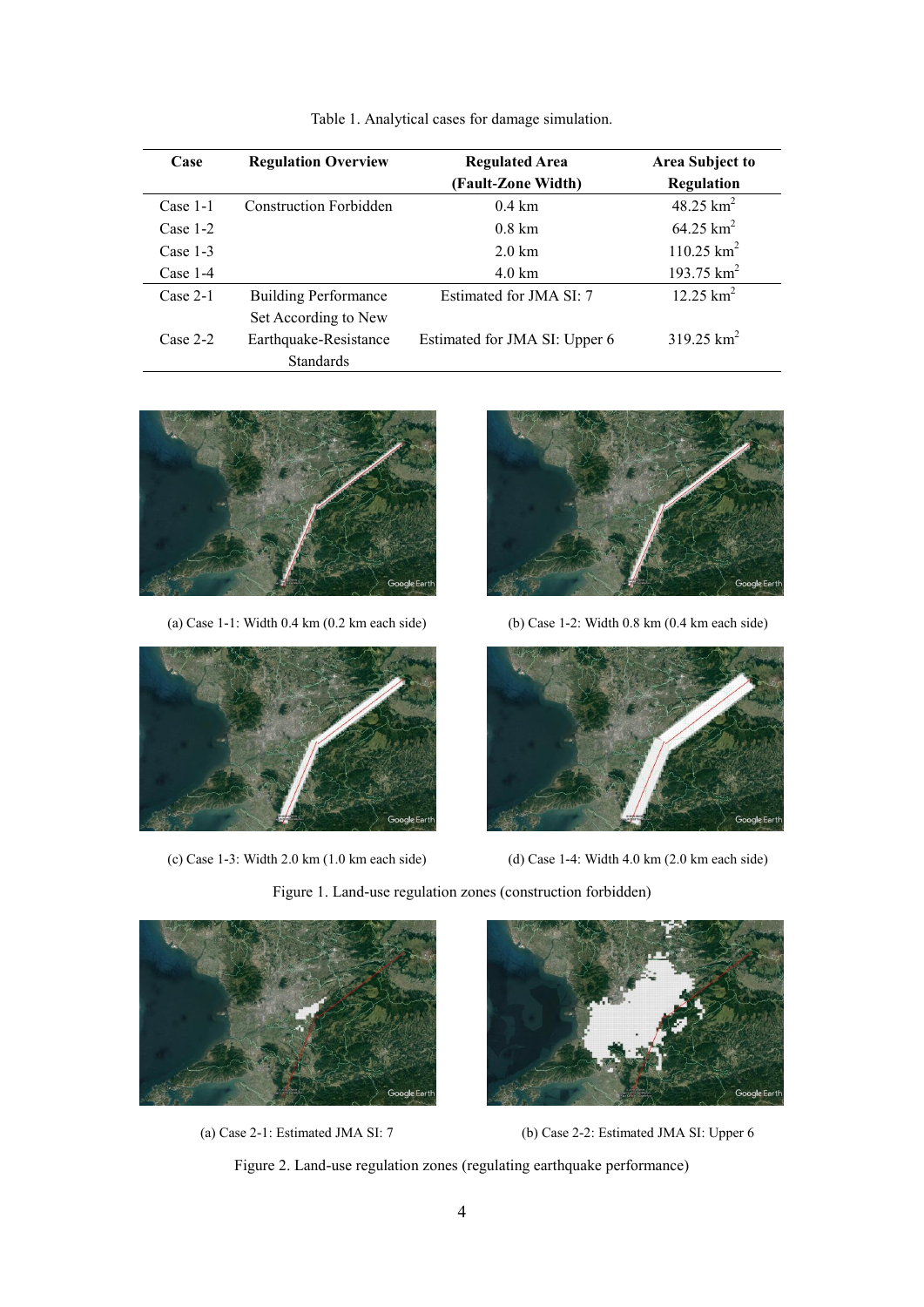| Case       | <b>Regulation Overview</b>    | <b>Regulated Area</b><br>(Fault-Zone Width) | <b>Area Subject to</b><br>Regulation |
|------------|-------------------------------|---------------------------------------------|--------------------------------------|
| $Case 1-1$ | <b>Construction Forbidden</b> | $0.4 \text{ km}$                            | 48.25 $km^2$                         |
| Case $1-2$ |                               | $0.8 \text{ km}$                            | $64.25 \text{ km}^2$                 |
| Case $1-3$ |                               | $2.0 \text{ km}$                            | $110.25$ km <sup>2</sup>             |
| Case $1-4$ |                               | $4.0 \text{ km}$                            | 193.75 $km^2$                        |
| $Case 2-1$ | <b>Building Performance</b>   | Estimated for JMA SI: 7                     | $12.25 \text{ km}^2$                 |
|            | Set According to New          |                                             |                                      |
| $Case 2-2$ | Earthquake-Resistance         | Estimated for JMA SI: Upper 6               | $319.25$ km <sup>2</sup>             |
|            | <b>Standards</b>              |                                             |                                      |

Table 1. Analytical cases for damage simulation.





(c) Case 1-3: Width 2.0 km (1.0 km each side) (d) Case 1-4: Width 4.0 km (2.0 km each side)



(a) Case 1-1: Width 0.4 km (0.2 km each side) (b) Case 1-2: Width 0.8 km (0.4 km each side)









(a) Case 2-1: Estimated JMA SI: 7 (b) Case 2-2: Estimated JMA SI: Upper 6

Figure 2. Land-use regulation zones (regulating earthquake performance)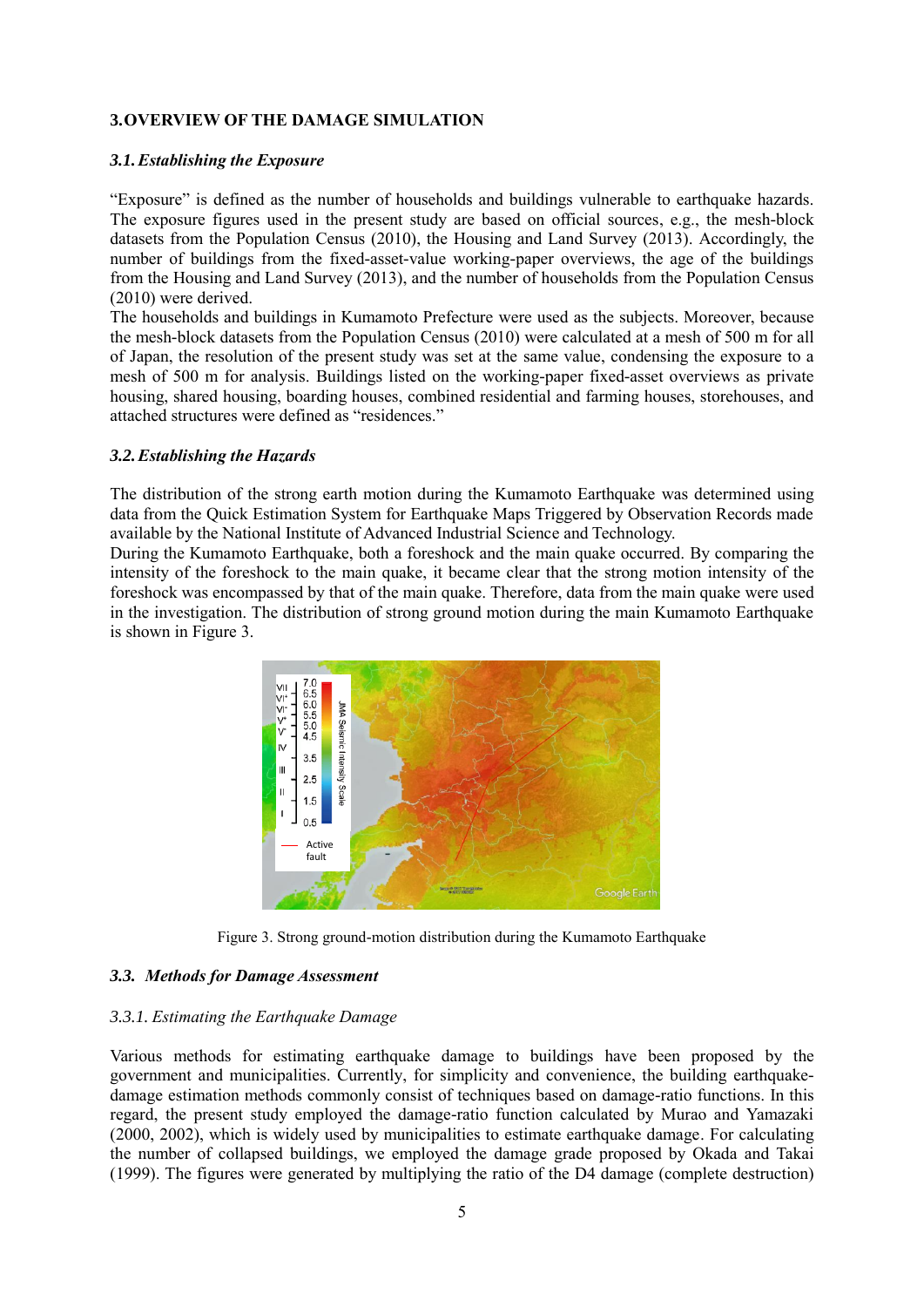## **3.OVERVIEW OF THE DAMAGE SIMULATION**

## *3.1.Establishing the Exposure*

―Exposure‖ is defined as the number of households and buildings vulnerable to earthquake hazards. The exposure figures used in the present study are based on official sources, e.g., the mesh-block datasets from the Population Census (2010), the Housing and Land Survey (2013). Accordingly, the number of buildings from the fixed-asset-value working-paper overviews, the age of the buildings from the Housing and Land Survey (2013), and the number of households from the Population Census (2010) were derived.

The households and buildings in Kumamoto Prefecture were used as the subjects. Moreover, because the mesh-block datasets from the Population Census (2010) were calculated at a mesh of 500 m for all of Japan, the resolution of the present study was set at the same value, condensing the exposure to a mesh of 500 m for analysis. Buildings listed on the working-paper fixed-asset overviews as private housing, shared housing, boarding houses, combined residential and farming houses, storehouses, and attached structures were defined as "residences."

## *3.2.Establishing the Hazards*

The distribution of the strong earth motion during the Kumamoto Earthquake was determined using data from the Quick Estimation System for Earthquake Maps Triggered by Observation Records made available by the National Institute of Advanced Industrial Science and Technology.

During the Kumamoto Earthquake, both a foreshock and the main quake occurred. By comparing the intensity of the foreshock to the main quake, it became clear that the strong motion intensity of the foreshock was encompassed by that of the main quake. Therefore, data from the main quake were used in the investigation. The distribution of strong ground motion during the main Kumamoto Earthquake is shown in Figure 3.



Figure 3. Strong ground-motion distribution during the Kumamoto Earthquake

## *3.3. Methods for Damage Assessment*

#### *3.3.1. Estimating the Earthquake Damage*

Various methods for estimating earthquake damage to buildings have been proposed by the government and municipalities. Currently, for simplicity and convenience, the building earthquakedamage estimation methods commonly consist of techniques based on damage-ratio functions. In this regard, the present study employed the damage-ratio function calculated by Murao and Yamazaki (2000, 2002), which is widely used by municipalities to estimate earthquake damage. For calculating the number of collapsed buildings, we employed the damage grade proposed by Okada and Takai (1999). The figures were generated by multiplying the ratio of the D4 damage (complete destruction)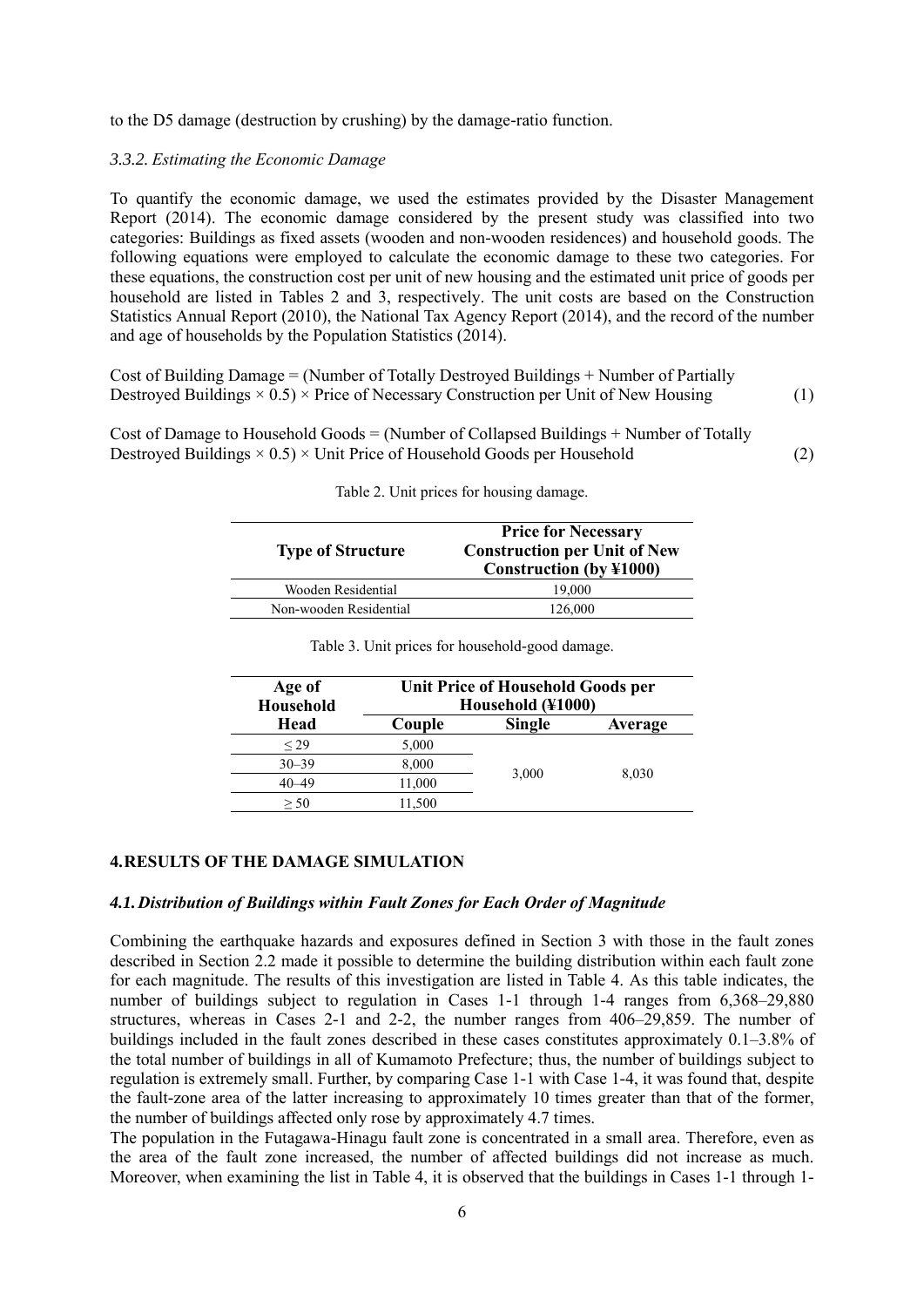to the D5 damage (destruction by crushing) by the damage-ratio function.

#### *3.3.2. Estimating the Economic Damage*

To quantify the economic damage, we used the estimates provided by the Disaster Management Report (2014). The economic damage considered by the present study was classified into two categories: Buildings as fixed assets (wooden and non-wooden residences) and household goods. The following equations were employed to calculate the economic damage to these two categories. For these equations, the construction cost per unit of new housing and the estimated unit price of goods per household are listed in Tables 2 and 3, respectively. The unit costs are based on the Construction Statistics Annual Report (2010), the National Tax Agency Report (2014), and the record of the number and age of households by the Population Statistics (2014).

Cost of Building Damage = (Number of Totally Destroyed Buildings + Number of Partially Destroyed Buildings  $\times$  0.5)  $\times$  Price of Necessary Construction per Unit of New Housing (1)

Cost of Damage to Household Goods = (Number of Collapsed Buildings + Number of Totally Destroyed Buildings  $\times$  0.5)  $\times$  Unit Price of Household Goods per Household (2)

| <b>Type of Structure</b> | <b>Price for Necessary</b><br><b>Construction per Unit of New</b><br><b>Construction (by ¥1000)</b> |  |  |  |
|--------------------------|-----------------------------------------------------------------------------------------------------|--|--|--|
| Wooden Residential       | 19,000                                                                                              |  |  |  |
| Non-wooden Residential   | 126,000                                                                                             |  |  |  |

|  | Table 2. Unit prices for housing damage. |  |
|--|------------------------------------------|--|

| Age of<br>Household | <b>Unit Price of Household Goods per</b><br>Household (¥1000) |               |         |  |  |  |  |
|---------------------|---------------------------------------------------------------|---------------|---------|--|--|--|--|
| Head                | Couple                                                        | <b>Single</b> | Average |  |  |  |  |
| < 29                | 5,000                                                         |               |         |  |  |  |  |
| $30 - 39$           | 8,000                                                         |               |         |  |  |  |  |
| $40 - 49$           | 11,000                                                        | 3,000         | 8,030   |  |  |  |  |
| > 50                | 11,500                                                        |               |         |  |  |  |  |

Table 3. Unit prices for household-good damage.

#### **4.RESULTS OF THE DAMAGE SIMULATION**

#### *4.1.Distribution of Buildings within Fault Zones for Each Order of Magnitude*

Combining the earthquake hazards and exposures defined in Section 3 with those in the fault zones described in Section 2.2 made it possible to determine the building distribution within each fault zone for each magnitude. The results of this investigation are listed in Table 4. As this table indicates, the number of buildings subject to regulation in Cases 1-1 through 1-4 ranges from 6,368–29,880 structures, whereas in Cases 2-1 and 2-2, the number ranges from 406–29,859. The number of buildings included in the fault zones described in these cases constitutes approximately 0.1–3.8% of the total number of buildings in all of Kumamoto Prefecture; thus, the number of buildings subject to regulation is extremely small. Further, by comparing Case 1-1 with Case 1-4, it was found that, despite the fault-zone area of the latter increasing to approximately 10 times greater than that of the former, the number of buildings affected only rose by approximately 4.7 times.

The population in the Futagawa-Hinagu fault zone is concentrated in a small area. Therefore, even as the area of the fault zone increased, the number of affected buildings did not increase as much. Moreover, when examining the list in Table 4, it is observed that the buildings in Cases 1-1 through 1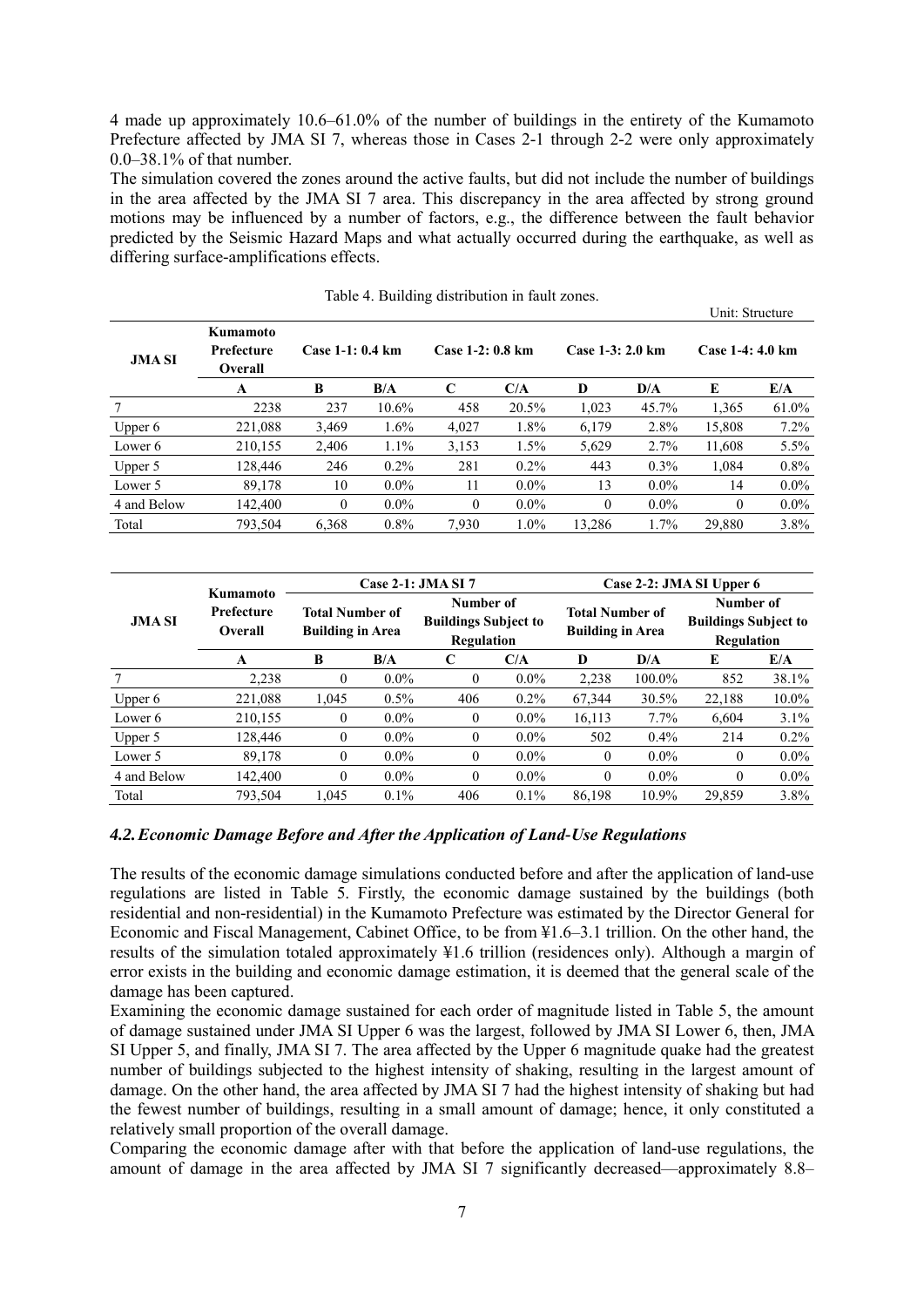4 made up approximately 10.6–61.0% of the number of buildings in the entirety of the Kumamoto Prefecture affected by JMA SI 7, whereas those in Cases 2-1 through 2-2 were only approximately 0.0–38.1% of that number.

The simulation covered the zones around the active faults, but did not include the number of buildings in the area affected by the JMA SI 7 area. This discrepancy in the area affected by strong ground motions may be influenced by a number of factors, e.g., the difference between the fault behavior predicted by the Seismic Hazard Maps and what actually occurred during the earthquake, as well as differing surface-amplifications effects.

|               |                                          |                   |          | away 1: 2 and in the above the integrative composition |         |                  |         | Unit: Structure  |         |
|---------------|------------------------------------------|-------------------|----------|--------------------------------------------------------|---------|------------------|---------|------------------|---------|
| <b>JMA SI</b> | Kumamoto<br>Prefecture<br><b>Overall</b> | Case $1-1:0.4$ km |          | Case 1-2: 0.8 km                                       |         | Case 1-3: 2.0 km |         | Case 1-4: 4.0 km |         |
|               | A                                        | В                 | B/A      | C                                                      | C/A     | D                | D/A     | E                | E/A     |
|               | 2238                                     | 237               | $10.6\%$ | 458                                                    | 20.5%   | 1,023            | 45.7%   | 1,365            | 61.0%   |
| Upper 6       | 221.088                                  | 3,469             | 1.6%     | 4,027                                                  | 1.8%    | 6.179            | 2.8%    | 15.808           | $7.2\%$ |
| Lower 6       | 210,155                                  | 2.406             | 1.1%     | 3.153                                                  | 1.5%    | 5,629            | 2.7%    | 11.608           | $5.5\%$ |
| Upper 5       | 128,446                                  | 246               | $0.2\%$  | 281                                                    | $0.2\%$ | 443              | $0.3\%$ | 1.084            | $0.8\%$ |
| Lower 5       | 89,178                                   | 10                | $0.0\%$  | 11                                                     | $0.0\%$ | 13               | $0.0\%$ | 14               | $0.0\%$ |
| 4 and Below   | 142,400                                  | $\theta$          | $0.0\%$  | $\Omega$                                               | $0.0\%$ | $\Omega$         | $0.0\%$ | $\theta$         | $0.0\%$ |
| Total         | 793,504                                  | 6.368             | 0.8%     | 7.930                                                  | $1.0\%$ | 13.286           | $1.7\%$ | 29,880           | 3.8%    |

| <b>JMA SI</b> |                                          |                                                   |         | Case 2-1: <b>JMA SI 7</b>                              |         | Case 2-2: JMA SI Upper 6                          |         |                                                        |         |  |
|---------------|------------------------------------------|---------------------------------------------------|---------|--------------------------------------------------------|---------|---------------------------------------------------|---------|--------------------------------------------------------|---------|--|
|               | Kumamoto<br>Prefecture<br><b>Overall</b> | <b>Total Number of</b><br><b>Building in Area</b> |         | Number of<br><b>Buildings Subject to</b><br>Regulation |         | <b>Total Number of</b><br><b>Building in Area</b> |         | Number of<br><b>Buildings Subject to</b><br>Regulation |         |  |
|               | A                                        | B                                                 | B/A     | C                                                      | C/A     | D                                                 | D/A     | E                                                      | E/A     |  |
|               | 2,238                                    | $\theta$                                          | $0.0\%$ | $\mathbf{0}$                                           | $0.0\%$ | 2,238                                             | 100.0%  | 852                                                    | 38.1%   |  |
| Upper $6$     | 221,088                                  | 1.045                                             | $0.5\%$ | 406                                                    | $0.2\%$ | 67,344                                            | 30.5%   | 22,188                                                 | 10.0%   |  |
| Lower 6       | 210,155                                  | $\Omega$                                          | $0.0\%$ | $\theta$                                               | $0.0\%$ | 16,113                                            | $7.7\%$ | 6,604                                                  | 3.1%    |  |
| Upper 5       | 128,446                                  | $\theta$                                          | $0.0\%$ | $\theta$                                               | $0.0\%$ | 502                                               | 0.4%    | 214                                                    | $0.2\%$ |  |
| Lower 5       | 89,178                                   | $\theta$                                          | $0.0\%$ | $\theta$                                               | $0.0\%$ | $\overline{0}$                                    | $0.0\%$ | $\Omega$                                               | $0.0\%$ |  |
| 4 and Below   | 142,400                                  | $\Omega$                                          | $0.0\%$ | $\theta$                                               | $0.0\%$ | $\theta$                                          | $0.0\%$ | $\theta$                                               | $0.0\%$ |  |
| Total         | 793,504                                  | 1.045                                             | 0.1%    | 406                                                    | $0.1\%$ | 86,198                                            | 10.9%   | 29,859                                                 | 3.8%    |  |

#### *4.2.Economic Damage Before and After the Application of Land-Use Regulations*

The results of the economic damage simulations conducted before and after the application of land-use regulations are listed in Table 5. Firstly, the economic damage sustained by the buildings (both residential and non-residential) in the Kumamoto Prefecture was estimated by the Director General for Economic and Fiscal Management, Cabinet Office, to be from ≦1.6–3.1 trillion. On the other hand, the results of the simulation totaled approximately  $\frac{1}{4}1.6$  trillion (residences only). Although a margin of error exists in the building and economic damage estimation, it is deemed that the general scale of the damage has been captured.

Examining the economic damage sustained for each order of magnitude listed in Table 5, the amount of damage sustained under JMA SI Upper 6 was the largest, followed by JMA SI Lower 6, then, JMA SI Upper 5, and finally, JMA SI 7. The area affected by the Upper 6 magnitude quake had the greatest number of buildings subjected to the highest intensity of shaking, resulting in the largest amount of damage. On the other hand, the area affected by JMA SI 7 had the highest intensity of shaking but had the fewest number of buildings, resulting in a small amount of damage; hence, it only constituted a relatively small proportion of the overall damage.

Comparing the economic damage after with that before the application of land-use regulations, the amount of damage in the area affected by JMA SI 7 significantly decreased—approximately 8.8–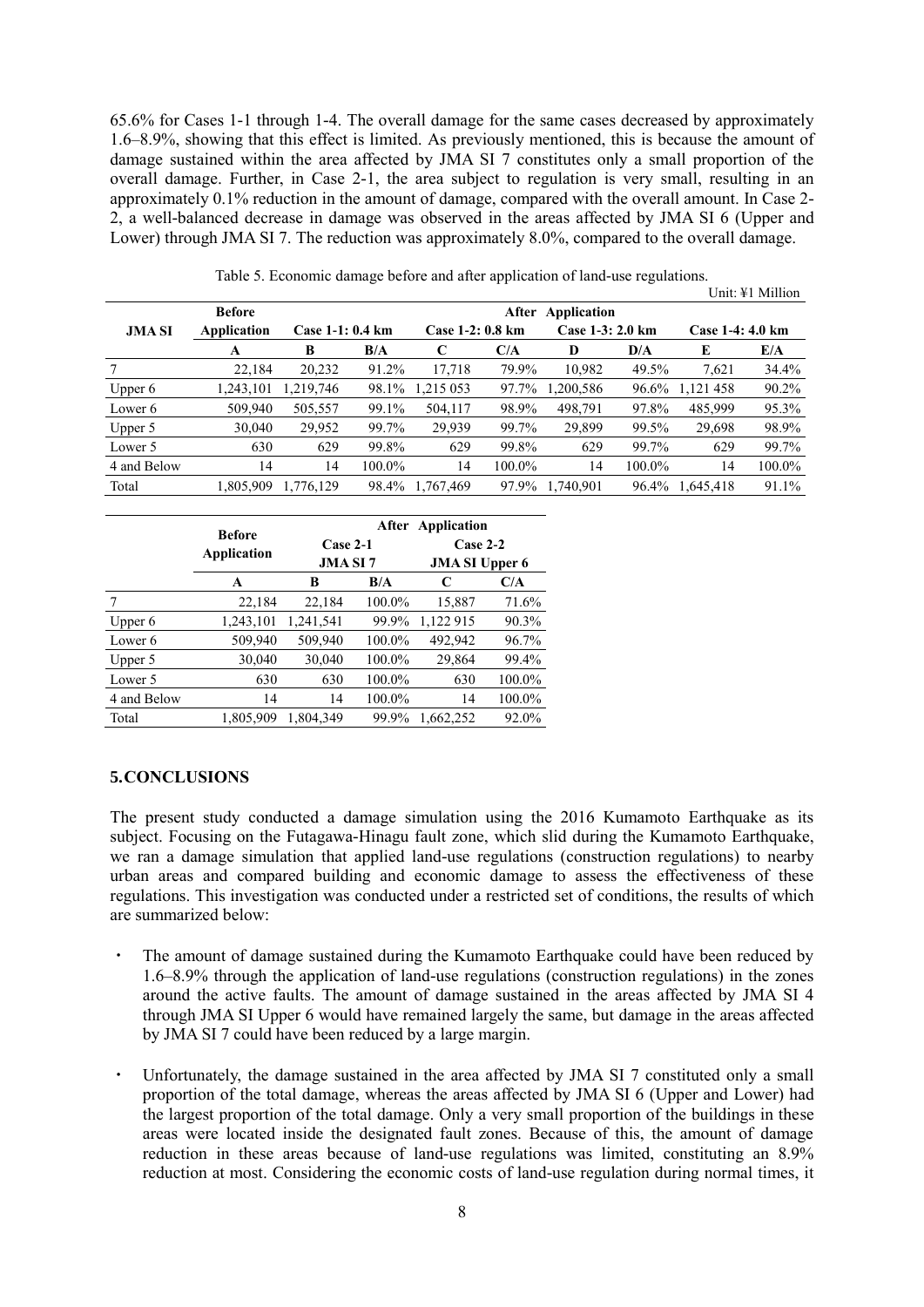65.6% for Cases 1-1 through 1-4. The overall damage for the same cases decreased by approximately 1.6–8.9%, showing that this effect is limited. As previously mentioned, this is because the amount of damage sustained within the area affected by JMA SI 7 constitutes only a small proportion of the overall damage. Further, in Case 2-1, the area subject to regulation is very small, resulting in an approximately 0.1% reduction in the amount of damage, compared with the overall amount. In Case 2- 2, a well-balanced decrease in damage was observed in the areas affected by JMA SI 6 (Upper and Lower) through JMA SI 7. The reduction was approximately 8.0%, compared to the overall damage.

|               |               |           |                                      |                 |        |                  |        |                  | $UIII. + IIIIIII$ |  |  |
|---------------|---------------|-----------|--------------------------------------|-----------------|--------|------------------|--------|------------------|-------------------|--|--|
|               | <b>Before</b> |           | Application<br>After                 |                 |        |                  |        |                  |                   |  |  |
| <b>JMA SI</b> | Application   |           | Case 1-2: 0.8 km<br>Case 1-1: 0.4 km |                 |        | Case 1-3: 2.0 km |        | Case 1-4: 4.0 km |                   |  |  |
|               | A             | B         | B/A                                  |                 | C/A    | D                | D/A    | E                | E/A               |  |  |
|               | 22,184        | 20,232    | 91.2%                                | 17,718          | 79.9%  | 10,982           | 49.5%  | 7,621            | 34.4%             |  |  |
| Upper $6$     | 1,243,101     | 1,219,746 | 98.1%                                | 1,215 053       | 97.7%  | 1,200,586        | 96.6%  | 1,121 458        | 90.2%             |  |  |
| Lower 6       | 509,940       | 505,557   | 99.1%                                | 504,117         | 98.9%  | 498,791          | 97.8%  | 485.999          | 95.3%             |  |  |
| Upper 5       | 30,040        | 29,952    | 99.7%                                | 29,939          | 99.7%  | 29,899           | 99.5%  | 29,698           | 98.9%             |  |  |
| Lower 5       | 630           | 629       | 99.8%                                | 629             | 99.8%  | 629              | 99.7%  | 629              | 99.7%             |  |  |
| 4 and Below   | 14            | 14        | 100.0%                               | 14              | 100.0% | 14               | 100.0% | 14               | 100.0%            |  |  |
| Total         | 1.805.909     | 1.776.129 |                                      | 98.4% 1.767.469 |        | 97.9% 1.740.901  |        | 96.4% 1.645.418  | 91.1%             |  |  |

|  |  |  |  | Table 5. Economic damage before and after application of land-use regulations. |  |
|--|--|--|--|--------------------------------------------------------------------------------|--|
|  |  |  |  |                                                                                |  |

|             | <b>Before</b><br>Application | $Case 2-1$<br><b>JMA SI 7</b> |        | After Application<br>$Case 2-2$<br><b>JMA SI Upper 6</b> |        |  |
|-------------|------------------------------|-------------------------------|--------|----------------------------------------------------------|--------|--|
|             | A                            | B                             | B/A    | C                                                        | C/A    |  |
| 7           | 22,184                       | 22,184                        | 100.0% | 15,887                                                   | 71.6%  |  |
| Upper $6$   | 1,243,101                    | 1,241,541                     | 99.9%  | 1,122 915                                                | 90.3%  |  |
| Lower 6     | 509,940                      | 509,940                       | 100.0% | 492,942                                                  | 96.7%  |  |
| Upper 5     | 30,040                       | 30,040                        | 100.0% | 29,864                                                   | 99.4%  |  |
| Lower 5     | 630                          | 630                           | 100.0% | 630                                                      | 100.0% |  |
| 4 and Below | 14                           | 14                            | 100.0% | 14                                                       | 100.0% |  |
| Total       | 1,805,909                    | 1,804,349                     | 99.9%  | 1,662,252                                                | 92.0%  |  |

#### **5.CONCLUSIONS**

The present study conducted a damage simulation using the 2016 Kumamoto Earthquake as its subject. Focusing on the Futagawa-Hinagu fault zone, which slid during the Kumamoto Earthquake, we ran a damage simulation that applied land-use regulations (construction regulations) to nearby urban areas and compared building and economic damage to assess the effectiveness of these regulations. This investigation was conducted under a restricted set of conditions, the results of which are summarized below:

- The amount of damage sustained during the Kumamoto Earthquake could have been reduced by 1.6–8.9% through the application of land-use regulations (construction regulations) in the zones around the active faults. The amount of damage sustained in the areas affected by JMA SI 4 through JMA SI Upper 6 would have remained largely the same, but damage in the areas affected by JMA SI 7 could have been reduced by a large margin.
- ・ Unfortunately, the damage sustained in the area affected by JMA SI 7 constituted only a small proportion of the total damage, whereas the areas affected by JMA SI 6 (Upper and Lower) had the largest proportion of the total damage. Only a very small proportion of the buildings in these areas were located inside the designated fault zones. Because of this, the amount of damage reduction in these areas because of land-use regulations was limited, constituting an 8.9% reduction at most. Considering the economic costs of land-use regulation during normal times, it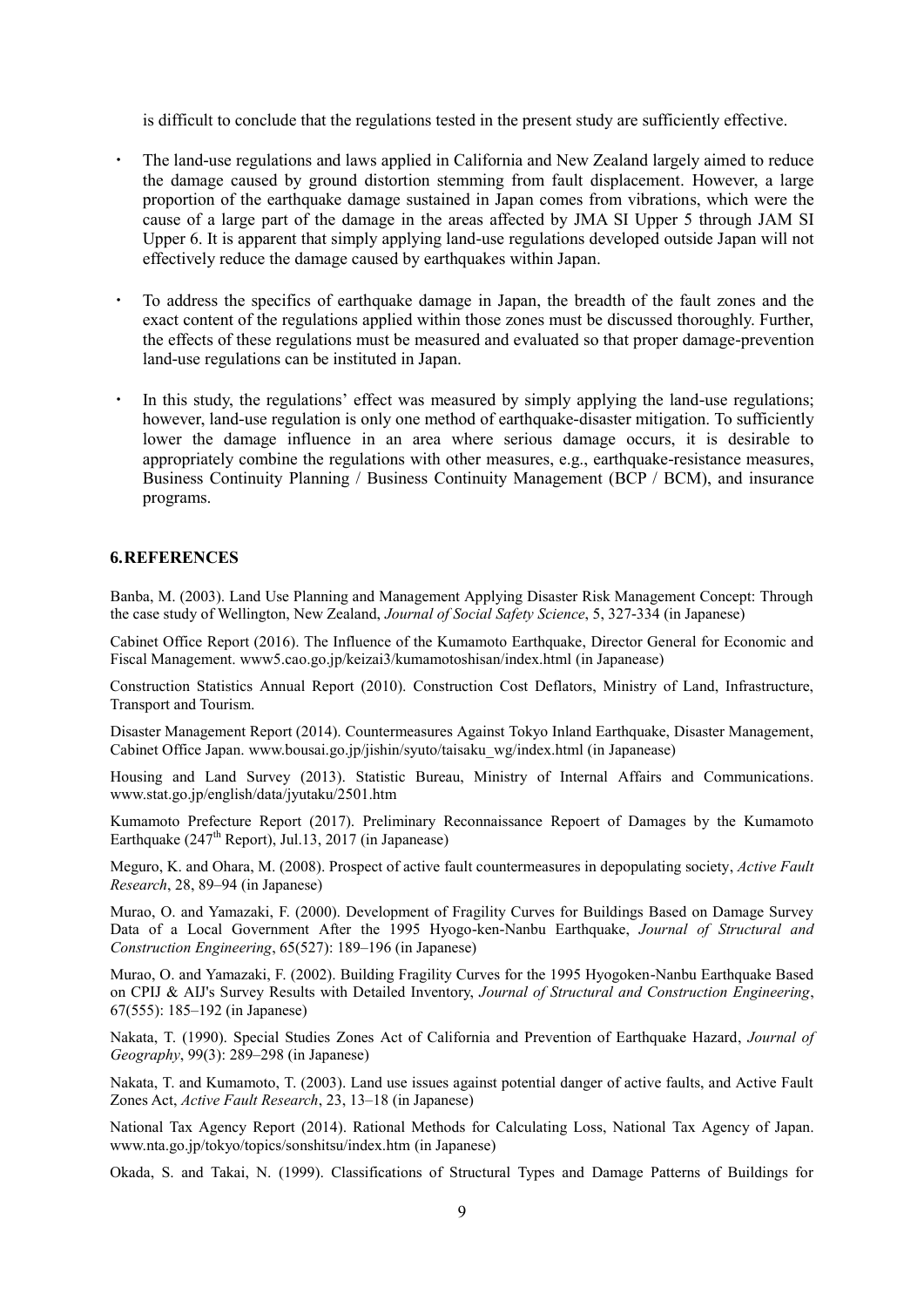is difficult to conclude that the regulations tested in the present study are sufficiently effective.

- ・ The land-use regulations and laws applied in California and New Zealand largely aimed to reduce the damage caused by ground distortion stemming from fault displacement. However, a large proportion of the earthquake damage sustained in Japan comes from vibrations, which were the cause of a large part of the damage in the areas affected by JMA SI Upper 5 through JAM SI Upper 6. It is apparent that simply applying land-use regulations developed outside Japan will not effectively reduce the damage caused by earthquakes within Japan.
- ・ To address the specifics of earthquake damage in Japan, the breadth of the fault zones and the exact content of the regulations applied within those zones must be discussed thoroughly. Further, the effects of these regulations must be measured and evaluated so that proper damage-prevention land-use regulations can be instituted in Japan.
- In this study, the regulations' effect was measured by simply applying the land-use regulations; however, land-use regulation is only one method of earthquake-disaster mitigation. To sufficiently lower the damage influence in an area where serious damage occurs, it is desirable to appropriately combine the regulations with other measures, e.g., earthquake-resistance measures, Business Continuity Planning / Business Continuity Management (BCP / BCM), and insurance programs.

#### **6.REFERENCES**

Banba, M. (2003). Land Use Planning and Management Applying Disaster Risk Management Concept: Through the case study of Wellington, New Zealand, *Journal of Social Safety Science*, 5, 327-334 (in Japanese)

Cabinet Office Report (2016). The Influence of the Kumamoto Earthquake, Director General for Economic and Fiscal Management. www5.cao.go.jp/keizai3/kumamotoshisan/index.html (in Japanease)

Construction Statistics Annual Report (2010). Construction Cost Deflators, Ministry of Land, Infrastructure, Transport and Tourism.

Disaster Management Report (2014). Countermeasures Against Tokyo Inland Earthquake, Disaster Management, Cabinet Office Japan. www.bousai.go.jp/jishin/syuto/taisaku\_wg/index.html (in Japanease)

Housing and Land Survey (2013). Statistic Bureau, Ministry of Internal Affairs and Communications. www.stat.go.jp/english/data/jyutaku/2501.htm

Kumamoto Prefecture Report (2017). Preliminary Reconnaissance Repoert of Damages by the Kumamoto Earthquake (247<sup>th</sup> Report), Jul.13, 2017 (in Japanease)

Meguro, K. and Ohara, M. (2008). Prospect of active fault countermeasures in depopulating society, *Active Fault Research*, 28, 89–94 (in Japanese)

Murao, O. and Yamazaki, F. (2000). Development of Fragility Curves for Buildings Based on Damage Survey Data of a Local Government After the 1995 Hyogo-ken-Nanbu Earthquake, *Journal of Structural and Construction Engineering*, 65(527): 189–196 (in Japanese)

Murao, O. and Yamazaki, F. (2002). Building Fragility Curves for the 1995 Hyogoken-Nanbu Earthquake Based on CPIJ & AIJ's Survey Results with Detailed Inventory, *Journal of Structural and Construction Engineering*, 67(555): 185–192 (in Japanese)

Nakata, T. (1990). Special Studies Zones Act of California and Prevention of Earthquake Hazard, *Journal of Geography*, 99(3): 289–298 (in Japanese)

Nakata, T. and Kumamoto, T. (2003). Land use issues against potential danger of active faults, and Active Fault Zones Act, *Active Fault Research*, 23, 13–18 (in Japanese)

National Tax Agency Report (2014). Rational Methods for Calculating Loss, National Tax Agency of Japan. www.nta.go.jp/tokyo/topics/sonshitsu/index.htm (in Japanese)

Okada, S. and Takai, N. (1999). Classifications of Structural Types and Damage Patterns of Buildings for